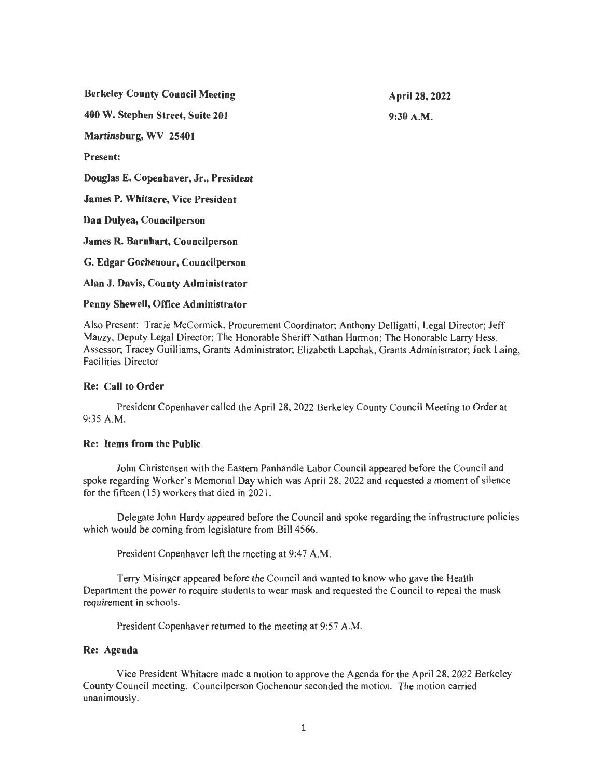| <b>Berkeley County Council Meeting</b>   | April 28, 2022 |
|------------------------------------------|----------------|
| 400 W. Stephen Street, Suite 201         | $9:30$ A.M.    |
| Martinsburg, WV 25401                    |                |
| <b>Present:</b>                          |                |
| Douglas E. Copenhaver, Jr., President    |                |
| <b>James P. Whitacre, Vice President</b> |                |
| Dan Dulyea, Councilperson                |                |
| James R. Barnhart, Councilperson         |                |
| G. Edgar Gochenour, Councilperson        |                |
| Alan J. Davis, County Administrator      |                |

#### **Penny Shewell, Office Administrator**

Also Present: Tracie McCormick, Procurement Coordinator; Anthony Delligatti, Legal Director; Jeff Mauzy, Deputy Legal Director; The Honorable Sheriff Nathan Harmon; The Honorable Larry Hess, Assessor; Tracey Guilliams, Grants Administrator; Elizabeth Lapchak, Grants Administrator; Jack Laing, Facilities Director

#### **Re: Call to Order**

President Copenhaver called the April 28, 2022 Berkeley County Council Meeting to Order at 9:35 A.M.

# **Re: Items from the Public**

John Christensen with the Eastern Panhandle Labor Council appeared before the Council and spoke regarding Worker's Memorial Day which was April 28, 2022 and requested a moment of silence for the fifteen ( 15) workers that died in 202 1.

Delegate John Hardy appeared before the Council and spoke regarding the infrastructure policies which would be coming from legislature from Bill 4566.

President Copenhaver left the meeting at 9:47 A.M.

Terry Misinger appeared before the Council and wanted to know who gave the Health Department the power to require students to wear mask and requested the Council to repeal the mask requirement in schools.

President Copenhaver returned to the meeting at 9:57 A.M.

# **Re: Agenda**

Vice President Whitacre made a motion to approve the Agenda for the April 28, 2022 Berkeley County Council meeting. Councilperson Gochenour seconded the motion. The motion carried unanimously.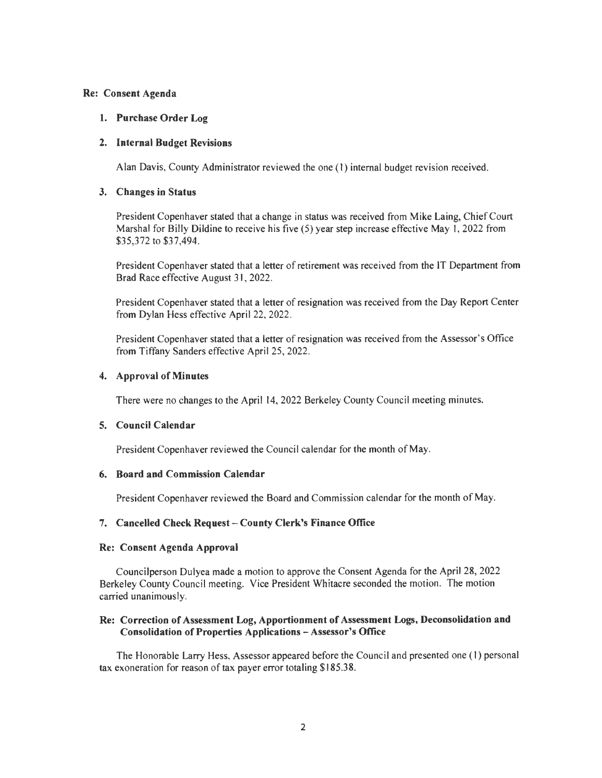## Re: Consent Agenda

## 1. Purchase Order Log

### 2. Internal Budget Revisions

Alan Davis, County Administrator reviewed the one (I) internal budget revision received.

### 3. Changes in Status

President Copenhaver stated that a change in status was received from Mike Laing, Chief Court Marshal for Billy Dildine to receive his five (5) year step increase effective May I, 2022 from \$35,372 to \$37,494.

President Copenhaver stated that a letter of retirement was received from the IT Department from Brad Race effective August 3 I, 2022.

President Copenhaver stated that a letter of resignation was received from the Day Report Center from Dylan Hess effective April 22, 2022.

President Copenhaver stated that a letter of resignation was received from the Assessor's Office from Tiffany Sanders effective April 25, 2022.

### 4. Approval of Minutes

There were no changes to the April 14, 2022 Berkeley County Council meeting minutes.

#### 5. Council Calendar

President Copenhaver reviewed the Council calendar for the month of May.

#### 6. Board and Commission Calendar

President Copenhaver reviewed the Board and Commission calendar for the month of May.

#### 7. Cancelled Check Request-County Clerk's Finance Office

#### Re: Consent Agenda Approval

Councilperson Dulyea made a motion to approve the Consent Agenda for the April 28, 2022 Berkeley County Council meeting. Vice President Whitacre seconded the motion. The motion carried unanimously.

# Re: Correction of Assessment Log, Apportionment of Assessment Logs, Deconsolidation and Consolidation of Properties Applications - Assessor's Office

The Honorable Larry Hess, Assessor appeared before the Council and presented one (I) personal tax exoneration for reason of tax payer error totaling \$185.38.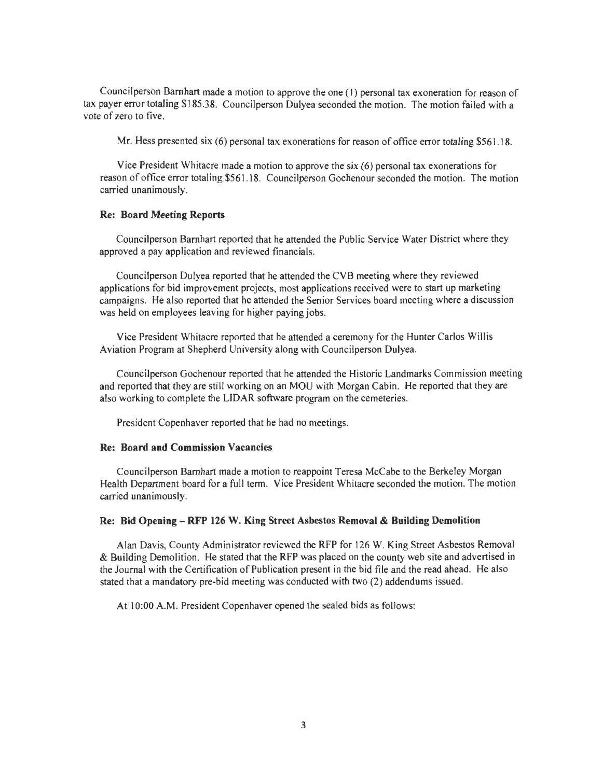Councilperson Barnhart made a motion to approve the one (I) personal tax exoneration for reason of tax payer error totaling \$185.38. Councilperson Dulyea seconded the motion. The motion failed with a vote of zero to five.

Mr. Hess presented six (6) personal tax exonerations for reason of office error totaling \$561.18.

Vice President Whitacre made a motion to approve the six (6) personal tax exonerations for reason of office error totaling \$56 1. 18. Councilperson Gochenour seconded the motion. The motion carried unanimously.

#### Re: Board Meeting Reports

Councilperson Barnhart reported that he attended the Public Service Water District where they approved a pay application and reviewed financials.

Councilperson Dulyea reported that he attended the CYB meeting where they reviewed applications for bid improvement projects, most applications received were to start up marketing campaigns. He also reported that he attended the Senior Services board meeting where a discussion was held on employees leaving for higher paying jobs.

Vice President Whitacre reported that he attended a ceremony for the Hunter Carlos Willis Aviation Program at Shepherd University along with Councilperson Dulyea.

Councilperson Gochenour reported that he attended the Historic Landmarks Commission meeting and reported that they are still working on an MOU with Morgan Cabin. He reported that they are also working to complete the LIDAR software program on the cemeteries.

President Copenhaver reported that he had no meetings.

#### Re: Board and Commission Vacancies

Councilperson Barnhart made a motion to reappoint Teresa McCabe to the Berkeley Morgan Health Department board for a full term. Vice President Whitacre seconded the motion. The motion carried unanimously.

# Re: Bid Opening - RFP 126 W. King Street Asbestos Removal & Building Demolition

Alan Davis, County Administrator reviewed the RFP for 126 W. King Street Asbestos Removal & Building Demolition. He stated that the RFP was placed on the county web site and advertised in the Journal with the Certification of Publication present in the bid file and the read ahead. He also stated that a mandatory pre-bid meeting was conducted with two (2) addendums issued.

At 10:00 A.M. President Copenhaver opened the sealed bids as follows: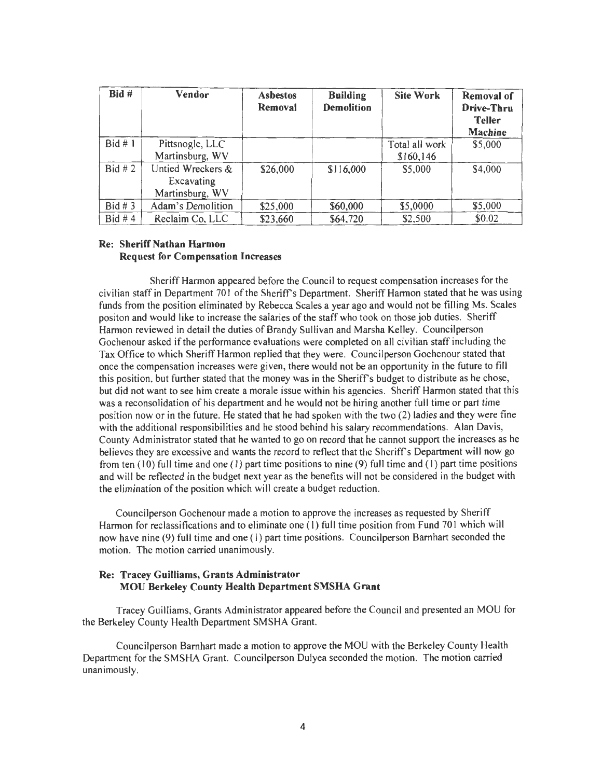| $Bid \#$  | Vendor                                             | <b>Asbestos</b><br>Removal | <b>Building</b><br><b>Demolition</b> | <b>Site Work</b>             | <b>Removal of</b><br>Drive-Thru<br><b>Teller</b><br>Machine |
|-----------|----------------------------------------------------|----------------------------|--------------------------------------|------------------------------|-------------------------------------------------------------|
| Bid#1     | Pittsnogle, LLC<br>Martinsburg, WV                 |                            |                                      | Total all work<br>\$160, 146 | \$5,000                                                     |
| Bid # 2   | Untied Wreckers &<br>Excavating<br>Martinsburg, WV | \$26,000                   | \$116,000                            | \$5,000                      | \$4,000                                                     |
| Bid # 3   | Adam's Demolition                                  | \$25,000                   | \$60,000                             | \$5,0000                     | \$5,000                                                     |
| Bid # $4$ | Reclaim Co, LLC                                    | \$23,660                   | \$64,720                             | \$2,500                      | \$0.02                                                      |

## Re: Sheriff Nathan Harmon Request for Compensation Increases

Sheriff Harmon appeared before the Council to request compensation increases for the civilian staff in Department 701 of the Sheriff's Department. Sheriff Harmon stated that he was using funds from the position eliminated by Rebecca Scales a year ago and would not be filling Ms. Scales positon and would like to increase the salaries of the staff who took on those job duties. Sheriff Harmon reviewed in detail the duties of Brandy Sullivan and Marsha Kelley. Councilperson Gochenour asked if the performance evaluations were completed on all civilian staff including the Tax Office to which Sheriff Harmon replied that they were. Councilperson Gochenour stated that once the compensation increases were given, there would not be an opportunity in the future to fill this position, but further stated that the money was in the Sheriff's budget to distribute as he chose, but did not want to see him create a morale issue within his agencies. Sheriff Harmon stated that this was a reconsolidation of his department and he would not be hiring another full time or part time position now or in the future. He stated that he had spoken with the two  $(2)$  ladies and they were fine with the additional responsibilities and he stood behind his salary recommendations. Alan Davis, County Administrator stated that he wanted to go on record that he cannot support the increases as he believes they are excessive and wants the record to reflect that the Sheriff's Department will now go from ten  $(10)$  full time and one  $(1)$  part time positions to nine  $(9)$  full time and  $(1)$  part time positions and will be reflected in the budget next year as the benefits will not be considered in the budget with the elimination of the position which will create a budget reduction.

Councilperson Gochenour made a motion to approve the increases as requested by Sheriff Harmon for reclassifications and to eliminate one (1) full time position from Fund 701 which will now have nine (9) full time and one (1) part time positions. Councilperson Barnhart seconded the motion. The motion carried unanimously.

# Re: Tracey Guilliams, Grants Administrator MOU Berkeley County Health Department SMSHA Grant

Tracey Guilliams, Grants Administrator appeared before the Council and presented an MOU for the Berkeley County Health Department SMSHA Grant.

Councilperson Barnhart made a motion to approve the MOU with the Berkeley County Health Department for the SMSHA Grant. Councilperson Dulyea seconded the motion. The motion carried unanimously.